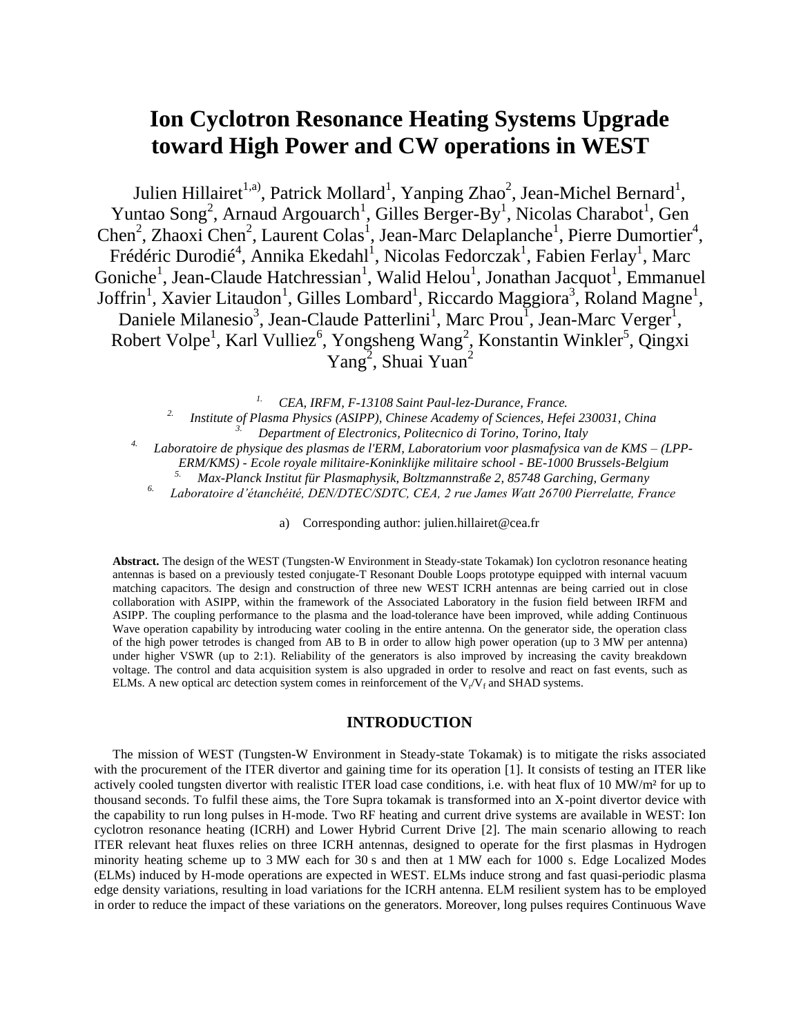# **Ion Cyclotron Resonance Heating Systems Upgrade toward High Power and CW operations in WEST**

Julien Hillairet<sup>[1,a](#page-0-0))</sup>, Patrick Mollard<sup>[1](#page-0-0)</sup>, Yanping Zhao<sup>[2](#page-0-1)</sup>, Jean-Michel Bernard<sup>1</sup>, Yuntao Son[g](#page-0-1)<sup>2</sup>, Arnaud Argouarch<sup>[1](#page-0-0)</sup>[,](#page-0-0) Gilles Berger-By<sup>1</sup>, Nicolas Charabot<sup>1</sup>, Gen Chen<sup>[2](#page-0-1)</[s](#page-0-0)up>, Zhaoxi Ch[e](#page-0-0)n<sup>2</sup>, Lau[r](#page-0-2)ent Colas<sup>1</sup>, Jean-Marc Delaplanche<sup>1</sup>, Pierre Dumortier<sup>4</sup>, Frédéric Durodié<sup>[4](#page-0-2)</sup>, Annika Ekedahl<sup>[1](#page-0-0)</sup>, Nicolas Fedorczak<sup>1</sup>, Fabien Ferlay<sup>1</sup>, Marc Goniche<sup>1</sup>[,](#page-0-0) Jean-Claude Hatchressian<sup>[1](#page-0-0)</sup>, Walid Helou<sup>1</sup>, Jonathan Jacquot<sup>1</sup>, Emmanuel Joffrin<sup>1</sup>[,](#page-0-0) Xavier Litaudon<sup>[1](#page-0-0)</sup>, Gilles Lombard<sup>1</sup>, Riccardo Maggiora<sup>[3](#page-0-3)</sup>, Roland Magn[e](#page-0-0)<sup>1</sup>, Daniele Milanesio<sup>3</sup>[,](#page-0-3) Jean-Claude Patterlini<sup>[1](#page-0-0)</sup>, Marc Prou<sup>1</sup>, Jean-Marc Verger<sup>1</sup>, Robert Volpe<sup>1</sup>[,](#page-0-0) Karl Vulliez<sup>[6](#page-0-4)</sup>, Yongsheng Wang<sup>[2](#page-0-1)</sup>, Konstantin Winkler<sup>[5](#page-0-5)</sup>, Qingxi Yang<sup>[2](#page-0-1)</sup>, Shuai Yuan<sup>2</sup>

*1. CEA, IRFM, F-13108 Saint Paul-lez-Durance, France.* 

*2. Institute of Plasma Physics (ASIPP), Chinese Academy of Sciences, Hefei 230031, China*

*3. Department of Electronics, Politecnico di Torino, Torino, Italy*

<span id="page-0-5"></span><span id="page-0-3"></span><span id="page-0-2"></span><span id="page-0-1"></span><span id="page-0-0"></span>*4. Laboratoire de physique des plasmas de l'ERM, Laboratorium voor plasmafysica van de KMS – (LPP-*

*ERM/KMS) - Ecole royale militaire-Koninklijke militaire school - BE-1000 Brussels-Belgium*

*5. Max-Planck Institut für Plasmaphysik, Boltzmannstraße 2, 85748 Garching, Germany*

<span id="page-0-4"></span>*6. Laboratoire d'étanchéité, DEN/DTEC/SDTC, CEA, 2 rue James Watt 26700 Pierrelatte, France*

a) Corresponding author: [julien.hillairet@cea.fr](mailto:julien.hillairet@cea.fr)

**Abstract.** The design of the WEST (Tungsten-W Environment in Steady-state Tokamak) Ion cyclotron resonance heating antennas is based on a previously tested conjugate-T Resonant Double Loops prototype equipped with internal vacuum matching capacitors. The design and construction of three new WEST ICRH antennas are being carried out in close collaboration with ASIPP, within the framework of the Associated Laboratory in the fusion field between IRFM and ASIPP. The coupling performance to the plasma and the load-tolerance have been improved, while adding Continuous Wave operation capability by introducing water cooling in the entire antenna. On the generator side, the operation class of the high power tetrodes is changed from AB to B in order to allow high power operation (up to 3 MW per antenna) under higher VSWR (up to 2:1). Reliability of the generators is also improved by increasing the cavity breakdown voltage. The control and data acquisition system is also upgraded in order to resolve and react on fast events, such as ELMs. A new optical arc detection system comes in reinforcement of the  $V_r/V_f$  and SHAD systems.

#### **INTRODUCTION**

The mission of WEST (Tungsten-W Environment in Steady-state Tokamak) is to mitigate the risks associated with the procurement of the ITER divertor and gaining time for its operation [\[1\]](#page-3-0). It consists of testing an ITER like actively cooled tungsten divertor with realistic ITER load case conditions, i.e. with heat flux of 10 MW/m<sup>2</sup> for up to thousand seconds. To fulfil these aims, the Tore Supra tokamak is transformed into an X-point divertor device with the capability to run long pulses in H-mode. Two RF heating and current drive systems are available in WEST: Ion cyclotron resonance heating (ICRH) and Lower Hybrid Current Drive [\[2\]](#page-3-1). The main scenario allowing to reach ITER relevant heat fluxes relies on three ICRH antennas, designed to operate for the first plasmas in Hydrogen minority heating scheme up to 3 MW each for 30 s and then at 1 MW each for 1000 s. Edge Localized Modes (ELMs) induced by H-mode operations are expected in WEST. ELMs induce strong and fast quasi-periodic plasma edge density variations, resulting in load variations for the ICRH antenna. ELM resilient system has to be employed in order to reduce the impact of these variations on the generators. Moreover, long pulses requires Continuous Wave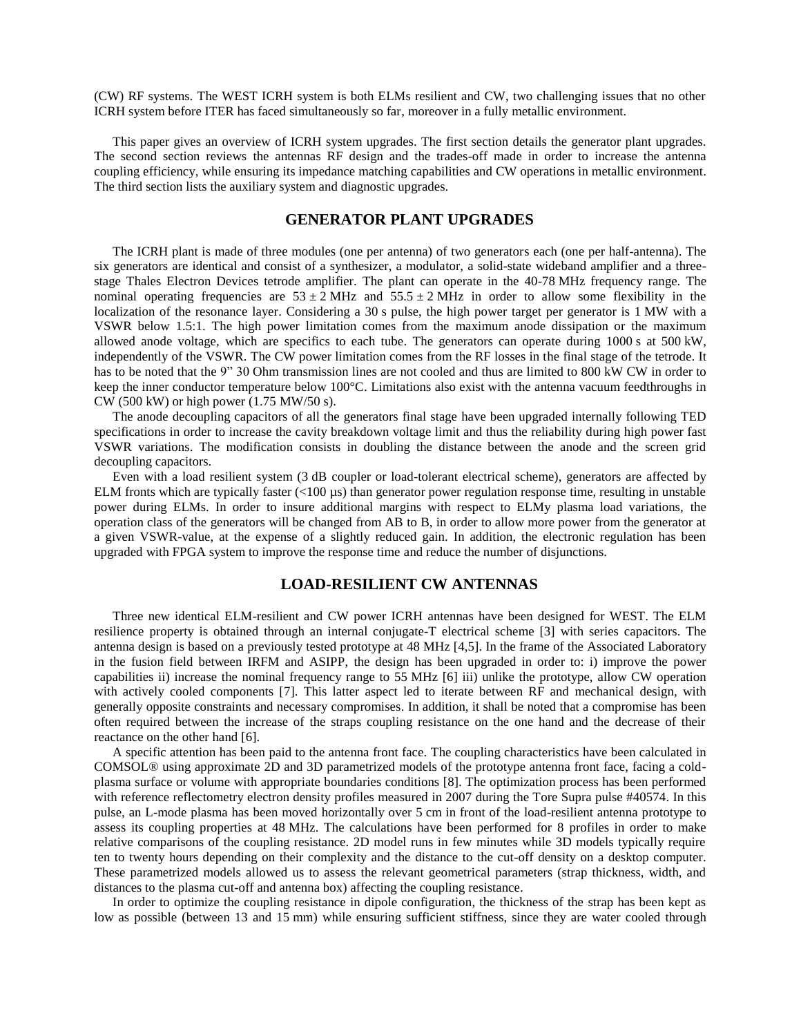(CW) RF systems. The WEST ICRH system is both ELMs resilient and CW, two challenging issues that no other ICRH system before ITER has faced simultaneously so far, moreover in a fully metallic environment.

This paper gives an overview of ICRH system upgrades. The first section details the generator plant upgrades. The second section reviews the antennas RF design and the trades-off made in order to increase the antenna coupling efficiency, while ensuring its impedance matching capabilities and CW operations in metallic environment. The third section lists the auxiliary system and diagnostic upgrades.

### **GENERATOR PLANT UPGRADES**

The ICRH plant is made of three modules (one per antenna) of two generators each (one per half-antenna). The six generators are identical and consist of a synthesizer, a modulator, a solid-state wideband amplifier and a threestage Thales Electron Devices tetrode amplifier. The plant can operate in the 40-78 MHz frequency range. The nominal operating frequencies are  $53 \pm 2$  MHz and  $55.5 \pm 2$  MHz in order to allow some flexibility in the localization of the resonance layer. Considering a 30 s pulse, the high power target per generator is 1 MW with a VSWR below 1.5:1. The high power limitation comes from the maximum anode dissipation or the maximum allowed anode voltage, which are specifics to each tube. The generators can operate during 1000 s at 500 kW, independently of the VSWR. The CW power limitation comes from the RF losses in the final stage of the tetrode. It has to be noted that the 9" 30 Ohm transmission lines are not cooled and thus are limited to 800 kW CW in order to keep the inner conductor temperature below 100°C. Limitations also exist with the antenna vacuum feedthroughs in CW (500 kW) or high power (1.75 MW/50 s).

The anode decoupling capacitors of all the generators final stage have been upgraded internally following TED specifications in order to increase the cavity breakdown voltage limit and thus the reliability during high power fast VSWR variations. The modification consists in doubling the distance between the anode and the screen grid decoupling capacitors.

Even with a load resilient system (3 dB coupler or load-tolerant electrical scheme), generators are affected by ELM fronts which are typically faster (<100 µs) than generator power regulation response time, resulting in unstable power during ELMs. In order to insure additional margins with respect to ELMy plasma load variations, the operation class of the generators will be changed from AB to B, in order to allow more power from the generator at a given VSWR-value, at the expense of a slightly reduced gain. In addition, the electronic regulation has been upgraded with FPGA system to improve the response time and reduce the number of disjunctions.

#### **LOAD-RESILIENT CW ANTENNAS**

Three new identical ELM-resilient and CW power ICRH antennas have been designed for WEST. The ELM resilience property is obtained through an internal conjugate-T electrical scheme [\[3\]](#page-3-2) with series capacitors. The antenna design is based on a previously tested prototype at 48 MHz [\[4](#page-3-3)[,5\]](#page-3-4). In the frame of the Associated Laboratory in the fusion field between IRFM and ASIPP, the design has been upgraded in order to: i) improve the power capabilities ii) increase the nominal frequency range to 55 MHz [\[6\]](#page-3-5) iii) unlike the prototype, allow CW operation with actively cooled components [\[7\]](#page-3-6). This latter aspect led to iterate between RF and mechanical design, with generally opposite constraints and necessary compromises. In addition, it shall be noted that a compromise has been often required between the increase of the straps coupling resistance on the one hand and the decrease of their reactance on the other hand [\[6\]](#page-3-5).

A specific attention has been paid to the antenna front face. The coupling characteristics have been calculated in COMSOL® using approximate 2D and 3D parametrized models of the prototype antenna front face, facing a coldplasma surface or volume with appropriate boundaries conditions [\[8\]](#page-3-7). The optimization process has been performed with reference reflectometry electron density profiles measured in 2007 during the Tore Supra pulse #40574. In this pulse, an L-mode plasma has been moved horizontally over 5 cm in front of the load-resilient antenna prototype to assess its coupling properties at 48 MHz. The calculations have been performed for 8 profiles in order to make relative comparisons of the coupling resistance. 2D model runs in few minutes while 3D models typically require ten to twenty hours depending on their complexity and the distance to the cut-off density on a desktop computer. These parametrized models allowed us to assess the relevant geometrical parameters (strap thickness, width, and distances to the plasma cut-off and antenna box) affecting the coupling resistance.

In order to optimize the coupling resistance in dipole configuration, the thickness of the strap has been kept as low as possible (between 13 and 15 mm) while ensuring sufficient stiffness, since they are water cooled through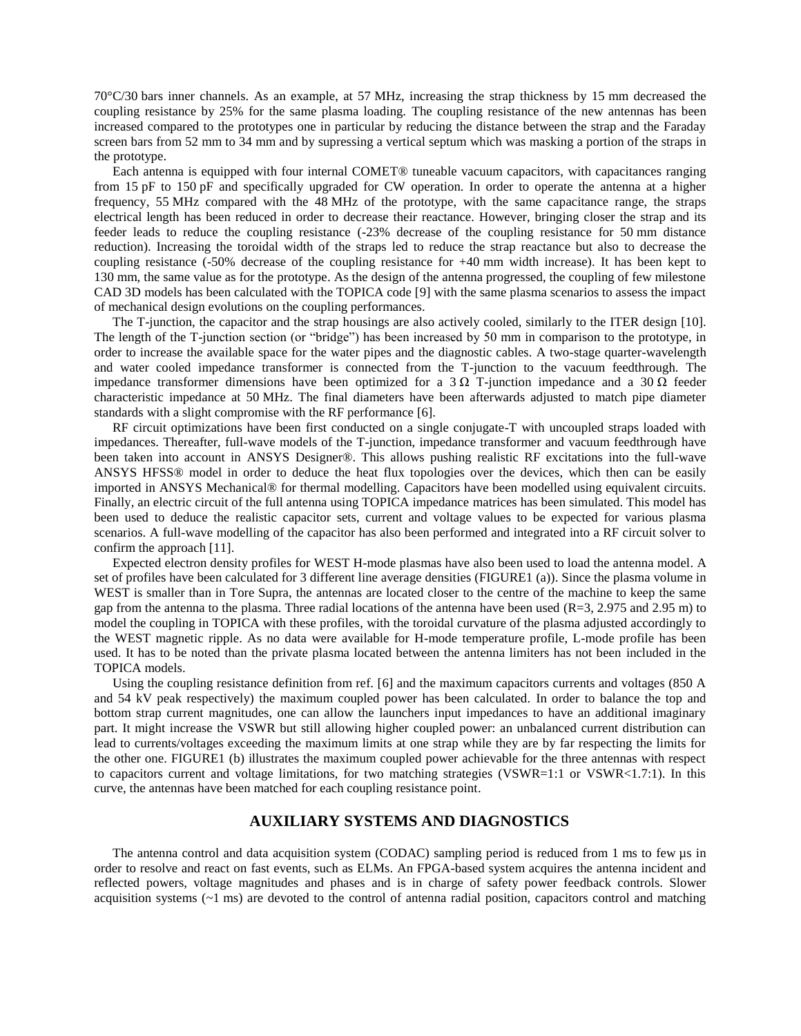70°C/30 bars inner channels. As an example, at 57 MHz, increasing the strap thickness by 15 mm decreased the coupling resistance by 25% for the same plasma loading. The coupling resistance of the new antennas has been increased compared to the prototypes one in particular by reducing the distance between the strap and the Faraday screen bars from 52 mm to 34 mm and by supressing a vertical septum which was masking a portion of the straps in the prototype.

Each antenna is equipped with four internal COMET® tuneable vacuum capacitors, with capacitances ranging from 15 pF to 150 pF and specifically upgraded for CW operation. In order to operate the antenna at a higher frequency, 55 MHz compared with the 48 MHz of the prototype, with the same capacitance range, the straps electrical length has been reduced in order to decrease their reactance. However, bringing closer the strap and its feeder leads to reduce the coupling resistance (-23% decrease of the coupling resistance for 50 mm distance reduction). Increasing the toroidal width of the straps led to reduce the strap reactance but also to decrease the coupling resistance (-50% decrease of the coupling resistance for +40 mm width increase). It has been kept to 130 mm, the same value as for the prototype. As the design of the antenna progressed, the coupling of few milestone CAD 3D models has been calculated with the TOPICA code [\[9\]](#page-3-8) with the same plasma scenarios to assess the impact of mechanical design evolutions on the coupling performances.

The T-junction, the capacitor and the strap housings are also actively cooled, similarly to the ITER design [\[10\]](#page-3-9). The length of the T-junction section (or "bridge") has been increased by 50 mm in comparison to the prototype, in order to increase the available space for the water pipes and the diagnostic cables. A two-stage quarter-wavelength and water cooled impedance transformer is connected from the T-junction to the vacuum feedthrough. The impedance transformer dimensions have been optimized for a 3  $\Omega$  T-junction impedance and a 30  $\Omega$  feeder characteristic impedance at 50 MHz. The final diameters have been afterwards adjusted to match pipe diameter standards with a slight compromise with the RF performance [\[6\]](#page-3-5).

RF circuit optimizations have been first conducted on a single conjugate-T with uncoupled straps loaded with impedances. Thereafter, full-wave models of the T-junction, impedance transformer and vacuum feedthrough have been taken into account in ANSYS Designer®. This allows pushing realistic RF excitations into the full-wave ANSYS HFSS® model in order to deduce the heat flux topologies over the devices, which then can be easily imported in ANSYS Mechanical® for thermal modelling. Capacitors have been modelled using equivalent circuits. Finally, an electric circuit of the full antenna using TOPICA impedance matrices has been simulated. This model has been used to deduce the realistic capacitor sets, current and voltage values to be expected for various plasma scenarios. A full-wave modelling of the capacitor has also been performed and integrated into a RF circuit solver to confirm the approach [\[11\]](#page-3-10).

Expected electron density profiles for WEST H-mode plasmas have also been used to load the antenna model. A set of profiles have been calculated for 3 different line average densities [\(FIGURE1](#page-3-11) (a)). Since the plasma volume in WEST is smaller than in Tore Supra, the antennas are located closer to the centre of the machine to keep the same gap from the antenna to the plasma. Three radial locations of the antenna have been used  $(R=3, 2.975$  and 2.95 m) to model the coupling in TOPICA with these profiles, with the toroidal curvature of the plasma adjusted accordingly to the WEST magnetic ripple. As no data were available for H-mode temperature profile, L-mode profile has been used. It has to be noted than the private plasma located between the antenna limiters has not been included in the TOPICA models.

Using the coupling resistance definition from ref. [\[6\]](#page-3-5) and the maximum capacitors currents and voltages (850 A and 54 kV peak respectively) the maximum coupled power has been calculated. In order to balance the top and bottom strap current magnitudes, one can allow the launchers input impedances to have an additional imaginary part. It might increase the VSWR but still allowing higher coupled power: an unbalanced current distribution can lead to currents/voltages exceeding the maximum limits at one strap while they are by far respecting the limits for the other one. [FIGURE1](#page-3-11) (b) illustrates the maximum coupled power achievable for the three antennas with respect to capacitors current and voltage limitations, for two matching strategies (VSWR=1:1 or VSWR<1.7:1). In this curve, the antennas have been matched for each coupling resistance point.

## **AUXILIARY SYSTEMS AND DIAGNOSTICS**

The antenna control and data acquisition system (CODAC) sampling period is reduced from 1 ms to few µs in order to resolve and react on fast events, such as ELMs. An FPGA-based system acquires the antenna incident and reflected powers, voltage magnitudes and phases and is in charge of safety power feedback controls. Slower acquisition systems  $(-1 \text{ ms})$  are devoted to the control of antenna radial position, capacitors control and matching